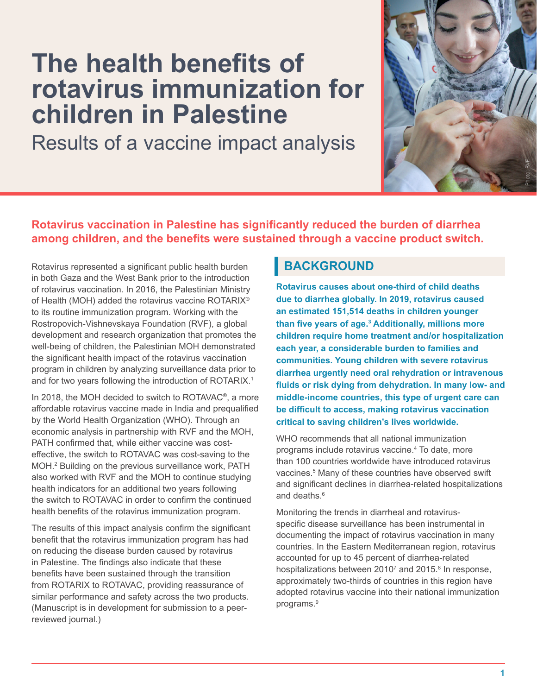# <span id="page-0-0"></span>**The health benefits of rotavirus immunization for children in Palestine**

Results of a vaccine impact analysis



## **Rotavirus vaccination in Palestine has significantly reduced the burden of diarrhea among children, and the benefits were sustained through a vaccine product switch.**

Rotavirus represented a significant public health burden in both Gaza and the West Bank prior to the introduction of rotavirus vaccination. In 2016, the Palestinian Ministry of Health (MOH) added the rotavirus vaccine ROTARIX® to its routine immunization program. Working with the Rostropovich-Vishnevskaya Foundation (RVF), a global development and research organization that promotes the well-being of children, the Palestinian MOH demonstrated the significant health impact of the rotavirus vaccination program in children by analyzing surveillance data prior to and for two years following the introduction of ROTARIX.<sup>[1](#page-3-0)</sup>

In 2018, the MOH decided to switch to ROTAVAC®, a more affordable rotavirus vaccine made in India and prequalified by the World Health Organization (WHO). Through an economic analysis in partnership with RVF and the MOH, PATH confirmed that, while either vaccine was costeffective, the switch to ROTAVAC was cost-saving to the MOH.[2](#page-3-0) Building on the previous surveillance work, PATH also worked with RVF and the MOH to continue studying health indicators for an additional two years following the switch to ROTAVAC in order to confirm the continued health benefits of the rotavirus immunization program.

The results of this impact analysis confirm the significant benefit that the rotavirus immunization program has had on reducing the disease burden caused by rotavirus in Palestine. The findings also indicate that these benefits have been sustained through the transition from ROTARIX to ROTAVAC, providing reassurance of similar performance and safety across the two products. (Manuscript is in development for submission to a peerreviewed journal.)

# **BACKGROUND**

**Rotavirus causes about one-third of child deaths due to diarrhea globally. In 2019, rotavirus caused an estimated 151,514 deaths in children younger than five years of age.[3](#page-3-0) Additionally, millions more children require home treatment and/or hospitalization each year, a considerable burden to families and communities. Young children with severe rotavirus diarrhea urgently need oral rehydration or intravenous fluids or risk dying from dehydration. In many low- and middle-income countries, this type of urgent care can be difficult to access, making rotavirus vaccination critical to saving children's lives worldwide.**

WHO recommends that all national immunization programs include rotavirus vaccine[.4](#page-3-0) To date, more than 100 countries worldwide have introduced rotavirus vaccines.<sup>[5](#page-3-0)</sup> Many of these countries have observed swift and significant declines in diarrhea-related hospitalizations and deaths.<sup>[6](#page-3-0)</sup>

Monitoring the trends in diarrheal and rotavirusspecific disease surveillance has been instrumental in documenting the impact of rotavirus vaccination in many countries. In the Eastern Mediterranean region, rotavirus accounted for up to 45 percent of diarrhea-related hospitalizations between 2010<sup>[7](#page-3-0)</sup> and 2015.<sup>8</sup> In response, approximately two-thirds of countries in this region have adopted rotavirus vaccine into their national immunization programs[.9](#page-3-0)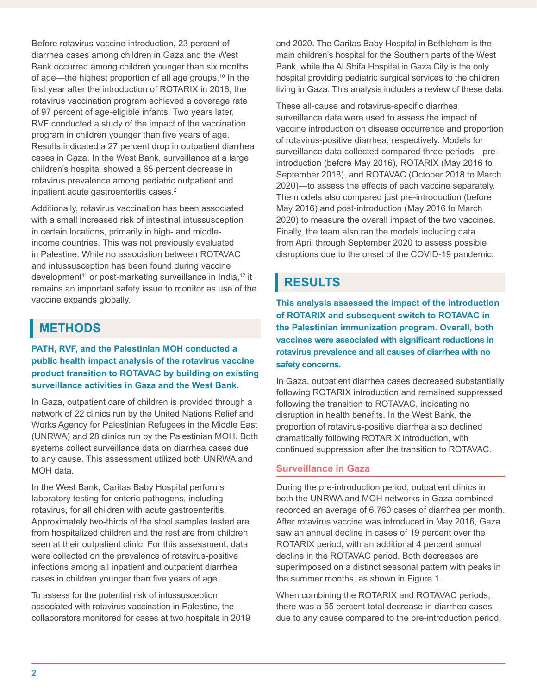<span id="page-1-0"></span>Before rotavirus vaccine introduction, 23 percent of diarrhea cases among children in Gaza and the West Bank occurred among children younger than six months of age—the highest proportion of all age groups.[10](#page-3-0) In the first year after the introduction of ROTARIX in 2016, the rotavirus vaccination program achieved a coverage rate of 97 percent of age-eligible infants. Two years later, RVF conducted a study of the impact of the vaccination program in children younger than five years of age. Results indicated a 27 percent drop in outpatient diarrhea cases in Gaza. In the West Bank, surveillance at a large children's hospital showed a 65 percent decrease in rotavirus prevalence among pediatric outpatient and inpatient acute gastroenteritis cases.<sup>2</sup>

Additionally, rotavirus vaccination has been associated with a small increased risk of intestinal intussusception in certain locations, primarily in high- and middleincome countries. This was not previously evaluated in Palestine. While no association between ROTAVAC and intussusception has been found during vaccine development<sup>11</sup> or post-marketing surveillance in India,<sup>12</sup> it remains an important safety issue to monitor as use of the vaccine expands globally.

# **METHODS**

## **PATH, RVF, and the Palestinian MOH conducted a public health impact analysis of the rotavirus vaccine product transition to ROTAVAC by building on existing surveillance activities in Gaza and the West Bank.**

In Gaza, outpatient care of children is provided through a network of 22 clinics run by the United Nations Relief and Works Agency for Palestinian Refugees in the Middle East (UNRWA) and 28 clinics run by the Palestinian MOH. Both systems collect surveillance data on diarrhea cases due to any cause. This assessment utilized both UNRWA and MOH data.

In the West Bank, Caritas Baby Hospital performs laboratory testing for enteric pathogens, including rotavirus, for all children with acute gastroenteritis. Approximately two-thirds of the stool samples tested are from hospitalized children and the rest are from children seen at their outpatient clinic. For this assessment, data were collected on the prevalence of rotavirus-positive infections among all inpatient and outpatient diarrhea cases in children younger than five years of age.

To assess for the potential risk of intussusception associated with rotavirus vaccination in Palestine, the collaborators monitored for cases at two hospitals in 2019 and 2020. The Caritas Baby Hospital in Bethlehem is the main children's hospital for the Southern parts of the West Bank, while the Al Shifa Hospital in Gaza City is the only hospital providing pediatric surgical services to the children living in Gaza. This analysis includes a review of these data.

These all-cause and rotavirus-specific diarrhea surveillance data were used to assess the impact of vaccine introduction on disease occurrence and proportion of rotavirus-positive diarrhea, respectively. Models for surveillance data collected compared three periods—preintroduction (before May 2016), ROTARIX (May 2016 to September 2018), and ROTAVAC (October 2018 to March 2020)—to assess the effects of each vaccine separately. The models also compared just pre-introduction (before May 2016) and post-introduction (May 2016 to March 2020) to measure the overall impact of the two vaccines. Finally, the team also ran the models including data from April through September 2020 to assess possible disruptions due to the onset of the COVID-19 pandemic.

# **RESULTS**

**This analysis assessed the impact of the introduction of ROTARIX and subsequent switch to ROTAVAC in the Palestinian immunization program. Overall, both vaccines were associated with significant reductions in rotavirus prevalence and all causes of diarrhea with no safety concerns.**

In Gaza, outpatient diarrhea cases decreased substantially following ROTARIX introduction and remained suppressed following the transition to ROTAVAC, indicating no disruption in health benefits. In the West Bank, the proportion of rotavirus-positive diarrhea also declined dramatically following ROTARIX introduction, with continued suppression after the transition to ROTAVAC.

## **Surveillance in Gaza**

During the pre-introduction period, outpatient clinics in both the UNRWA and MOH networks in Gaza combined recorded an average of 6,760 cases of diarrhea per month. After rotavirus vaccine was introduced in May 2016, Gaza saw an annual decline in cases of 19 percent over the ROTARIX period, with an additional 4 percent annual decline in the ROTAVAC period. Both decreases are superimposed on a distinct seasonal pattern with peaks in the summer months, as shown in Figure 1.

When combining the ROTARIX and ROTAVAC periods, there was a 55 percent total decrease in diarrhea cases due to any cause compared to the pre-introduction period.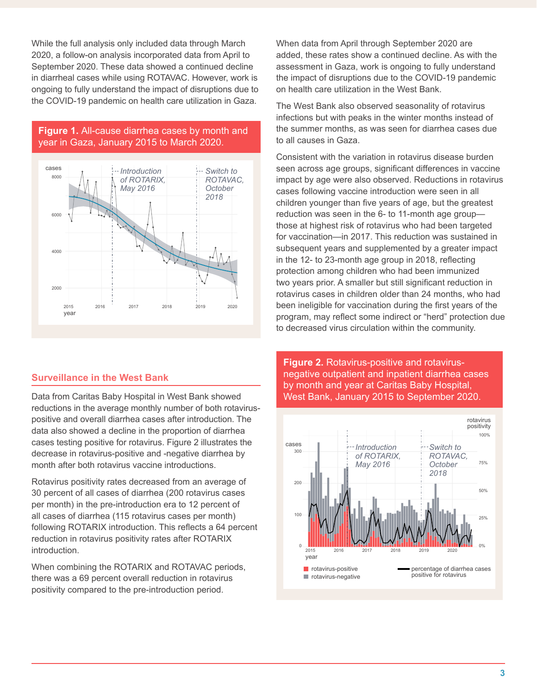While the full analysis only included data through March 2020, a follow-on analysis incorporated data from April to September 2020. These data showed a continued decline in diarrheal cases while using ROTAVAC. However, work is ongoing to fully understand the impact of disruptions due to the COVID-19 pandemic on health care utilization in Gaza.

## **Figure 1.** All-cause diarrhea cases by month and year in Gaza, January 2015 to March 2020.



## **Surveillance in the West Bank**

Data from Caritas Baby Hospital in West Bank showed reductions in the average monthly number of both rotaviruspositive and overall diarrhea cases after introduction. The data also showed a decline in the proportion of diarrhea cases testing positive for rotavirus. Figure 2 illustrates the decrease in rotavirus-positive and -negative diarrhea by month after both rotavirus vaccine introductions.

Rotavirus positivity rates decreased from an average of 30 percent of all cases of diarrhea (200 rotavirus cases per month) in the pre-introduction era to 12 percent of all cases of diarrhea (115 rotavirus cases per month) following ROTARIX introduction. This reflects a 64 percent reduction in rotavirus positivity rates after ROTARIX introduction.

When combining the ROTARIX and ROTAVAC periods, there was a 69 percent overall reduction in rotavirus positivity compared to the pre-introduction period.

When data from April through September 2020 are added, these rates show a continued decline. As with the assessment in Gaza, work is ongoing to fully understand the impact of disruptions due to the COVID-19 pandemic on health care utilization in the West Bank.

The West Bank also observed seasonality of rotavirus infections but with peaks in the winter months instead of the summer months, as was seen for diarrhea cases due to all causes in Gaza.

Consistent with the variation in rotavirus disease burden seen across age groups, significant differences in vaccine impact by age were also observed. Reductions in rotavirus cases following vaccine introduction were seen in all children younger than five years of age, but the greatest reduction was seen in the 6- to 11-month age group those at highest risk of rotavirus who had been targeted for vaccination—in 2017. This reduction was sustained in subsequent years and supplemented by a greater impact in the 12- to 23-month age group in 2018, reflecting protection among children who had been immunized two years prior. A smaller but still significant reduction in rotavirus cases in children older than 24 months, who had been ineligible for vaccination during the first years of the program, may reflect some indirect or "herd" protection due to decreased virus circulation within the community.

**Figure 2.** Rotavirus-positive and rotavirusnegative outpatient and inpatient diarrhea cases by month and year at Caritas Baby Hospital, West Bank, January 2015 to September 2020.